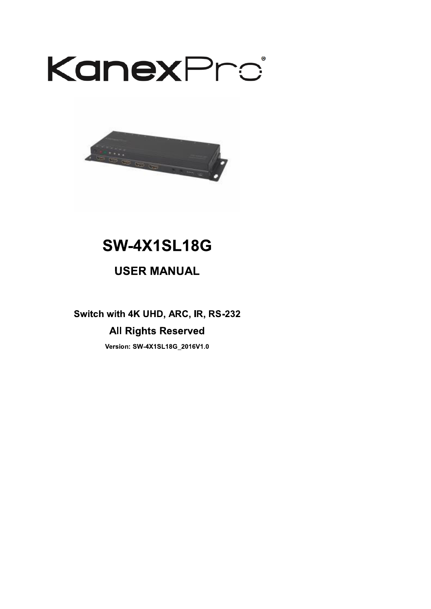



# **SW-4X1SL18G**

## **USER MANUAL**

Switch with 4K UHD, ARC, IR, RS-232

## **All Rights Reserved**

Version: SW-4X1SL18G\_2016V1.0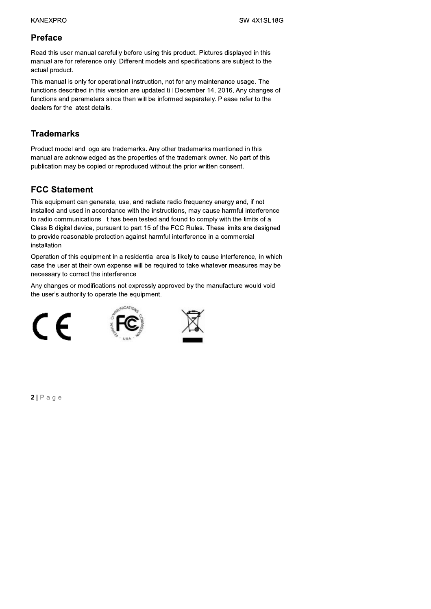### **Preface**

Read this user manual carefully before using this product. Pictures displayed in this manual are for reference only. Different models and specifications are subject to the actual product.

This manual is only for operational instruction, not for any maintenance usage. The functions described in this version are updated till December 14, 2016. Any changes of functions and parameters since then will be informed separately. Please refer to the dealers for the latest details.

### **Trademarks**

Product model and logo are trademarks. Any other trademarks mentioned in this manual are acknowledged as the properties of the trademark owner. No part of this publication may be copied or reproduced without the prior written consent.

## **FCC Statement**

This equipment can generate, use, and radiate radio frequency energy and, if not installed and used in accordance with the instructions, may cause harmful interference to radio communications. It has been tested and found to comply with the limits of a Class B digital device, pursuant to part 15 of the FCC Rules. These limits are designed to provide reasonable protection against harmful interference in a commercial installation.

Operation of this equipment in a residential area is likely to cause interference, in which case the user at their own expense will be required to take whatever measures may be necessary to correct the interference

Any changes or modifications not expressly approved by the manufacture would void the user's authority to operate the equipment.







 $2|P \text{ age}$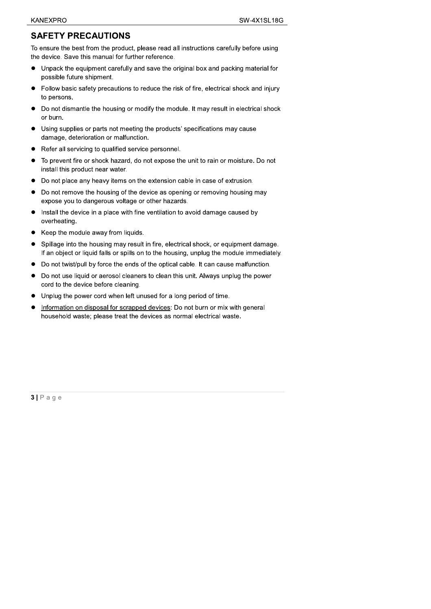### **SAFETY PRECAUTIONS**

To ensure the best from the product, please read all instructions carefully before using the device. Save this manual for further reference.

- Unpack the equipment carefully and save the original box and packing material for  $\bullet$ possible future shipment.
- Follow basic safety precautions to reduce the risk of fire, electrical shock and injury to persons.
- Do not dismantle the housing or modify the module. It may result in electrical shock  $\bullet$ or burn.
- Using supplies or parts not meeting the products' specifications may cause  $\bullet$ damage, deterioration or malfunction.
- Refer all servicing to qualified service personnel.  $\bullet$
- To prevent fire or shock hazard, do not expose the unit to rain or moisture. Do not  $\bullet$ install this product near water.
- Do not place any heavy items on the extension cable in case of extrusion.  $\bullet$
- Do not remove the housing of the device as opening or removing housing may  $\bullet$ expose you to dangerous voltage or other hazards.
- Install the device in a place with fine ventilation to avoid damage caused by  $\bullet$ overheating.
- $\bullet$ Keep the module away from liquids.
- Spillage into the housing may result in fire, electrical shock, or equipment damage.  $\bullet$ If an object or liquid falls or spills on to the housing, unplug the module immediately.
- $\bullet$ Do not twist/pull by force the ends of the optical cable. It can cause malfunction.
- $\bullet$ Do not use liquid or aerosol cleaners to clean this unit. Always unplug the power cord to the device before cleaning.
- Unplug the power cord when left unused for a long period of time.  $\bullet$
- Information on disposal for scrapped devices: Do not burn or mix with general  $\bullet$ household waste; please treat the devices as normal electrical waste.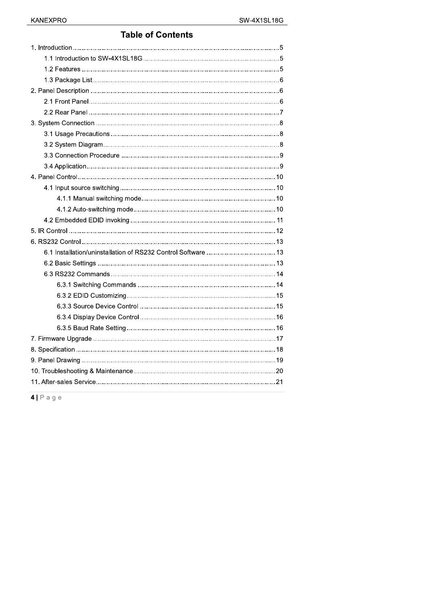## **Table of Contents**

 $4P$ age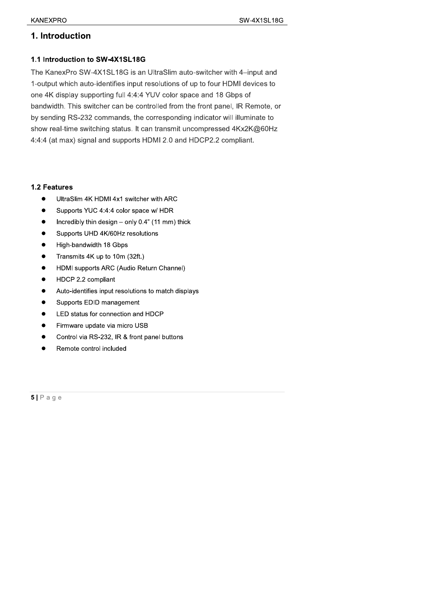### 1. Introduction

#### 1.1 Introduction to SW-4X1SL18G

The KanexPro SW-4X1SL18G is an UltraSlim auto-switcher with 4-input and 1-output which auto-identifies input resolutions of up to four HDMI devices to one 4K display supporting full 4:4:4 YUV color space and 18 Gbps of bandwidth. This switcher can be controlled from the front panel, IR Remote, or by sending RS-232 commands, the corresponding indicator will illuminate to show real-time switching status. It can transmit uncompressed 4Kx2K@60Hz 4:4:4 (at max) signal and supports HDMI 2.0 and HDCP2.2 compliant.

#### 1.2 Features

- $\bullet$ UltraSlim 4K HDMI 4x1 switcher with ARC
- Supports YUC 4:4:4 color space w/ HDR  $\bullet$
- Incredibly thin design only 0.4" (11 mm) thick
- $\bullet$ Supports UHD 4K/60Hz resolutions
- High-bandwidth 18 Gbps  $\bullet$
- Transmits 4K up to 10m (32ft.)  $\bullet$
- HDMI supports ARC (Audio Return Channel)  $\bullet$
- HDCP 2.2 compliant  $\bullet$
- Auto-identifies input resolutions to match displays  $\bullet$
- Supports EDID management  $\bullet$
- LED status for connection and HDCP  $\bullet$
- Firmware update via micro USB
- Control via RS-232, IR & front panel buttons  $\bullet$
- Remote control included  $\bullet$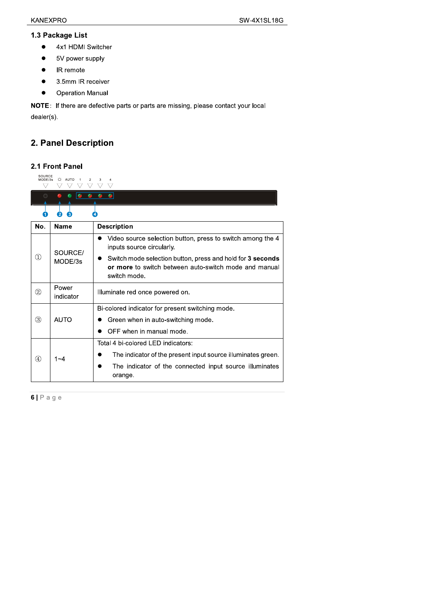- 
- 
- 
- 
- 

XANEXPRO<br>
1.3 Package List<br>
● 4x1 HDMI Switcher<br>
● 5V power supply<br>
● IR remote<br>
● 3.5mm IR receiver<br>
● Operation Manual<br>
NOTE: If there are defective parts or parts are missing, please contact your local<br>
dealer(s).<br>
2.

## 2. Panel Description

#### 2.1 Front Panel

| 77<br>$\bigcirc$ | $\nabla$<br>▽ ▽<br>$\bullet$ $\bullet$<br>$\bullet$<br>$\bullet$ | $\triangledown$<br>$\nabla$<br>$\nabla$<br>$\bullet$ $\bullet$                                                                      |
|------------------|------------------------------------------------------------------|-------------------------------------------------------------------------------------------------------------------------------------|
| O                | 2<br>€                                                           | ❹                                                                                                                                   |
| No.              | <b>Name</b>                                                      | <b>Description</b>                                                                                                                  |
|                  | SOURCE/                                                          | • Video source selection button, press to switch among the 4<br>inputs source circularly.                                           |
| $\odot$          | MODE/3s                                                          | Switch mode selection button, press and hold for 3 seconds<br>or more to switch between auto-switch mode and manual<br>switch mode. |
| $\circled{2}$    | Power<br>indicator                                               | Illuminate red once powered on.                                                                                                     |
|                  |                                                                  | Bi-colored indicator for present switching mode.                                                                                    |
| $\circled{3}$    | <b>AUTO</b>                                                      | Green when in auto-switching mode.                                                                                                  |
|                  |                                                                  | OFF when in manual mode.                                                                                                            |
|                  |                                                                  | Total 4 bi-colored LED indicators:                                                                                                  |
| $\circled{4}$    | $1 - 4$                                                          | The indicator of the present input source illuminates green.                                                                        |
|                  |                                                                  | The indicator of the connected input source illuminates<br>orange.                                                                  |
|                  |                                                                  |                                                                                                                                     |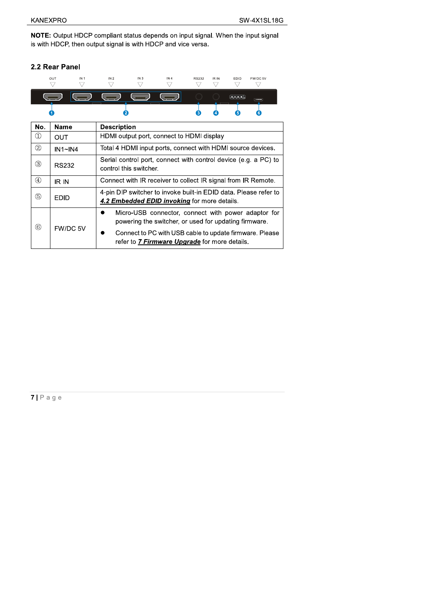$\overline{\phantom{0}}$ 

NOTE: Output HDCP compliant status depends on input signal. When the input signal is with HDCP, then output signal is with HDCP and vice versa.

#### 2.2 Rear Panel

| $\mathbf{M}$ | <b>Description</b>                 |     |              |       |                                              |          |  |
|--------------|------------------------------------|-----|--------------|-------|----------------------------------------------|----------|--|
| 1            | 2                                  |     | (3)          | 4     | 5                                            | 6        |  |
|              |                                    |     |              |       | $\frac{1}{2}$ $\frac{1}{3}$ $\frac{1}{4}$ on | $-$      |  |
| OUT<br>IN 1  | IN <sub>3</sub><br>IN <sub>2</sub> | IN4 | <b>RS232</b> | IR IN | EDID                                         | FW/DC 5V |  |

| NO.            | name         | <b>Description</b>                                                                                                    |  |  |
|----------------|--------------|-----------------------------------------------------------------------------------------------------------------------|--|--|
| $^{\circledR}$ | <b>OUT</b>   | HDMI output port, connect to HDMI display                                                                             |  |  |
| $^{\circledR}$ | IN1~N4       | Total 4 HDMI input ports, connect with HDMI source devices.                                                           |  |  |
| ☺              | <b>RS232</b> | Serial control port, connect with control device (e.g. a PC) to<br>control this switcher.                             |  |  |
| $^{\circledA}$ | IR IN        | Connect with IR receiver to collect IR signal from IR Remote.                                                         |  |  |
| (5)            | <b>EDID</b>  | 4-pin DIP switcher to invoke built-in EDID data. Please refer to<br>4.2 Embedded EDID invoking for more details.      |  |  |
| $\circleds$    |              | Micro-USB connector, connect with power adaptor for<br>D<br>powering the switcher, or used for updating firmware.     |  |  |
|                | FW/DC 5V     | Connect to PC with USB cable to update firmware. Please<br>$\bullet$<br>refer to 7 Firmware Upgrade for more details. |  |  |

 $7 P a g e$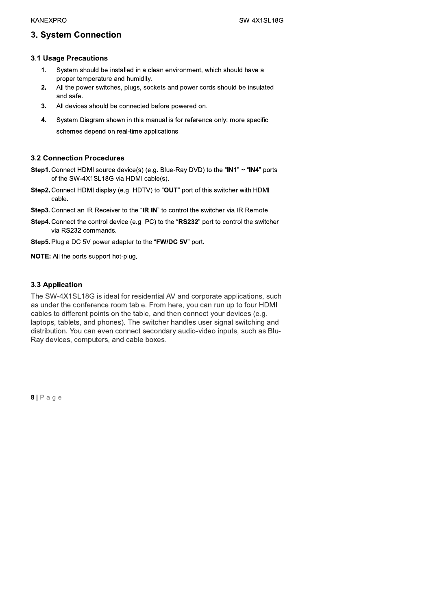### 3. System Connection

- 
- 
- 
- SW-4X1SL180<br>
3. System Connection<br>
3.1 Usage Precautions<br>
1. System should be installed in a clean environment, which should have a<br>
proper temperature and humidity.<br>
2. All the power switches, plugs, sockets and power cor and safe.<br>
and safe.<br>
3. All devices should be connected before powered on.<br>
4. System Diagram shown in this manual is for reference only; more specific<br>
schemes depend on real-time applications.<br>
3.2 Connection Procedures

- of the SW-4X1SL18G via HDMI cable(s).
- Step2. Connect HDMI display (e.g. HDTV) to "OUT" port of this switcher with HDMI cable.
- Step3. Connect an IR Receiver to the "IR IN" to control the switcher via IR Remote.
- Step4. Connect the control device (e.g. PC) to the "RS232" port to control the switcher via RS232 commands.
- Step5. Plug a DC 5V power adapter to the "FW/DC 5V" port.

NOTE: All the ports support hot-plug.

#### 3.3 Application

The SW-4X1SL18G is ideal for residential AV and corporate applications, such as under the conference room table. From here, you can run up to four HDMI cables to different points on the table, and then connect your devices (e.g. laptops, tablets, and phones). The switcher handles user signal switching and distribution. You can even connect secondary audio-video inputs, such as Blu-Ray devices, computers, and cable boxes.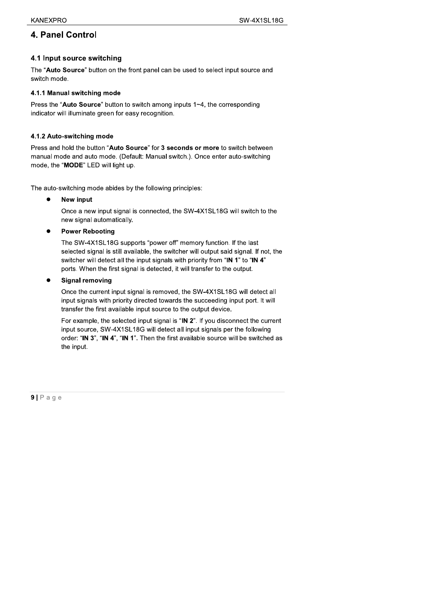### 4. Panel Control

#### 4.1 Input source switching

The "Auto Source" button on the front panel can be used to select input source and switch mode.

#### 4.1.1 Manual switching mode

Press the "Auto Source" button to switch among inputs 1~4, the corresponding indicator will illuminate green for easy recognition.

#### 4.1.2 Auto-switching mode

Press and hold the button "Auto Source" for 3 seconds or more to switch between manual mode and auto mode. (Default: Manual switch.). Once enter auto-switching mode, the "MODE" LED will light up.

The auto-switching mode abides by the following principles:

New input  $\bullet$ 

> Once a new input signal is connected, the SW-4X1SL18G will switch to the new signal automatically.

#### **Power Rebooting**

The SW-4X1SL18G supports "power off" memory function. If the last selected signal is still available, the switcher will output said signal. If not, the switcher will detect all the input signals with priority from "IN 1" to "IN 4" ports. When the first signal is detected, it will transfer to the output.

#### **Signal removing**

Once the current input signal is removed, the SW-4X1SL18G will detect all input signals with priority directed towards the succeeding input port. It will transfer the first available input source to the output device.

For example, the selected input signal is "IN 2". If you disconnect the current input source, SW-4X1SL18G will detect all input signals per the following order: "IN 3", "IN 4", "IN 1". Then the first available source will be switched as the input.

 $9 | P \text{age}$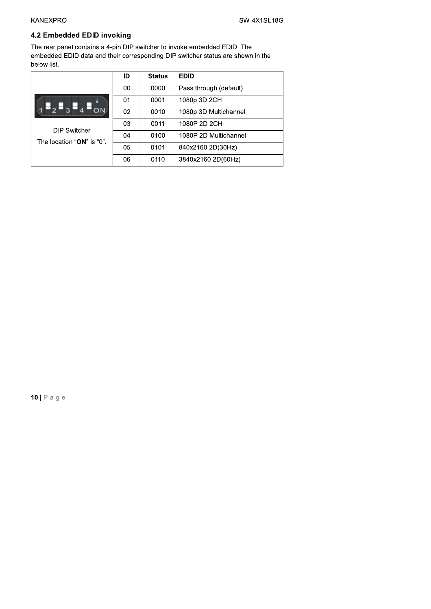#### 4.2 Embedded EDID invoking

The rear panel contains a 4-pin DIP switcher to invoke embedded EDID. The embedded EDID data and their corresponding DIP switcher status are shown in the below list.

|                                                         | ID | <b>Status</b> | <b>EDID</b>            |
|---------------------------------------------------------|----|---------------|------------------------|
|                                                         | 00 | 0000          | Pass through (default) |
|                                                         | 01 | 0001          | 1080p 3D 2CH           |
| $\blacksquare$ <sub>3</sub> $\blacksquare$ <sub>4</sub> | 02 | 0010          | 1080p 3D Multichannel  |
| <b>DIP Switcher</b>                                     | 03 | 0011          | 1080P 2D 2CH           |
| The location "ON" is "0".                               | 04 | 0100          | 1080P 2D Multichannel  |
|                                                         | 05 | 0101          | 840x2160 2D(30Hz)      |
|                                                         | 06 | 0110          | 3840x2160 2D(60Hz)     |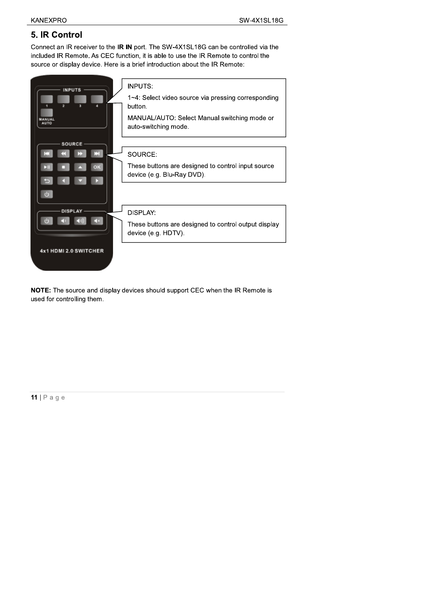### 5. IR Control

Connect an IR receiver to the IR IN port. The SW-4X1SL18G can be controlled via the included IR Remote. As CEC function, it is able to use the IR Remote to control the source or display device. Here is a brief introduction about the IR Remote:



NOTE: The source and display devices should support CEC when the IR Remote is used for controlling them.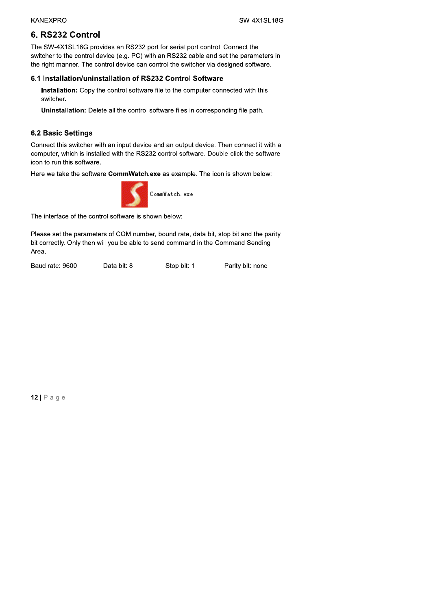#### 6. RS232 Control

The SW-4X1SL18G provides an RS232 port for serial port control. Connect the switcher to the control device (e.g. PC) with an RS232 cable and set the parameters in the right manner. The control device can control the switcher via designed software.

#### 6.1 Installation/uninstallation of RS232 Control Software

Installation: Copy the control software file to the computer connected with this switcher.

Uninstallation: Delete all the control software files in corresponding file path.

#### **6.2 Basic Settings**

Connect this switcher with an input device and an output device. Then connect it with a computer, which is installed with the RS232 control software. Double-click the software icon to run this software.

Here we take the software CommWatch.exe as example. The icon is shown below:



The interface of the control software is shown below:

Please set the parameters of COM number, bound rate, data bit, stop bit and the parity bit correctly. Only then will you be able to send command in the Command Sending Area.

Baud rate: 9600

Data bit: 8

Stop bit: 1 Parity bit: none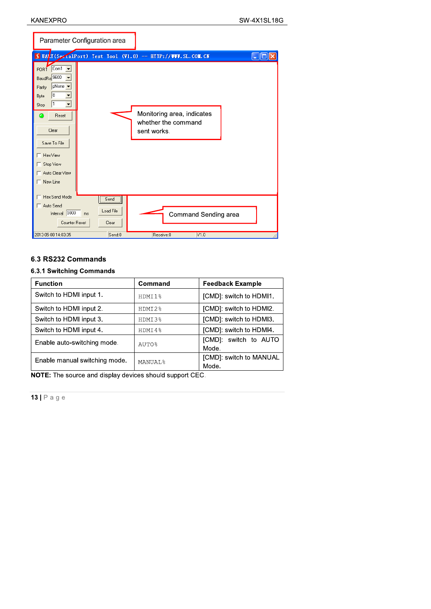| Parameter Configuration area                                             |                            |                                                                  |                                     |
|--------------------------------------------------------------------------|----------------------------|------------------------------------------------------------------|-------------------------------------|
|                                                                          |                            | UAMI(SezialPort) Test Tool (V1.0) - HITP://WWW.SL.COM.CN         | $\mathbin .\mathbin \Box \mathbf x$ |
| PORT Com1<br>BaudRa 9600<br>pNone –<br>Parity<br>8<br>Byte<br>I1<br>Stop |                            |                                                                  |                                     |
| Reset<br>മ<br>Clear<br>Save To File                                      |                            | Monitoring area, indicates<br>whether the command<br>sent works. |                                     |
| Hex View<br>Stop View                                                    |                            |                                                                  |                                     |
| Auto Clear View<br>New Line                                              |                            |                                                                  |                                     |
| Hex Send Mode<br>Auto Send<br>Interval 1000<br>ms<br>Counter Reset       | Send<br>Load File<br>Clear | Command Sending area                                             |                                     |
| 2013-05-08 14:03:35                                                      | Send:0                     | V1.0<br>Receive:0                                                |                                     |

| Interval 1000<br>ms<br><b>Counter Reset</b> | Load File<br>Clear |                | Command Sending area             |
|---------------------------------------------|--------------------|----------------|----------------------------------|
| 2013-05-08 14:03:35                         | Send:0             | Receive:0      | VI.0                             |
|                                             |                    |                |                                  |
| 6.3 RS232 Commands                          |                    |                |                                  |
| 6.3.1 Switching Commands                    |                    |                |                                  |
| <b>Function</b>                             |                    | Command        | <b>Feedback Example</b>          |
| Switch to HDMI input 1.                     |                    | HDMI1%         | [CMD]: switch to HDMI1.          |
| Switch to HDMI input 2.                     |                    | HDMI2%         | [CMD]: switch to HDMI2.          |
| Switch to HDMI input 3.                     |                    | HDMI3%         | [CMD]: switch to HDMI3.          |
| Switch to HDMI input 4.                     |                    | HDMI4%         | [CMD]: switch to HDMI4.          |
| Enable auto-switching mode.                 |                    | <b>AUTO%</b>   | [CMD]: switch to AUTO<br>Mode.   |
| Enable manual switching mode.               |                    | <b>MANUAL%</b> | [CMD]: switch to MANUAL<br>Mode. |

NOTE: The source and display devices should support CEC.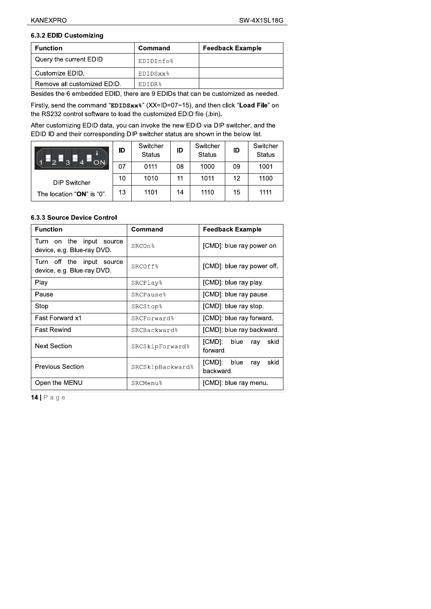## 6.3.2 EDID Customizing

| <b>Function</b>             | Command            | <b>Feedback Example</b> |
|-----------------------------|--------------------|-------------------------|
| Query the current EDID      | EDIDInfo%          |                         |
| Customize EDID.             | EDIDSxx%           |                         |
| Remove all customized EDID. | EDIDR <sup>2</sup> |                         |

Besides the 6 embedded EDID, there are 9 EDIDs that can be customized as needed.

Firstly, send the command "EDIDSxx%" (XX=ID=07~15), and then click "Load File" on the RS232 control software to load the customized EDID file (.bin).

After customizing EDID data, you can invoke the new EDID via DIP switcher, and the EDID ID and their corresponding DIP switcher status are shown in the below list.

| ON.                       | ID | Switcher<br><b>Status</b> | ID | Switcher<br><b>Status</b> | ID | Switcher<br><b>Status</b> |
|---------------------------|----|---------------------------|----|---------------------------|----|---------------------------|
|                           | 07 | 0111                      | 08 | 1000                      | 09 | 1001                      |
| <b>DIP Switcher</b>       | 10 | 1010                      | 11 | 1011                      | 12 | 1100                      |
| The location "ON" is "0". | 13 | 1101                      | 14 | 1110                      | 15 | 1111                      |

#### 6.3.3 Source Device Control

| <b>Function</b>                                              | Command               | <b>Feedback Example</b>                    |  |  |
|--------------------------------------------------------------|-----------------------|--------------------------------------------|--|--|
| Turn on the<br>input<br>source<br>device, e.g. Blue-ray DVD. | SRCOn%                | [CMD]: blue ray power on.                  |  |  |
| Turn off the<br>input source<br>device, e.g. Blue-ray DVD.   | SRCOff%               | [CMD]: blue ray power off.                 |  |  |
| Play                                                         | SRCPlay <sup>8</sup>  | [CMD]: blue ray play.                      |  |  |
| Pause                                                        | SRCPause <sup>8</sup> | [CMD]: blue ray pause.                     |  |  |
| Stop                                                         | <b>SRCStop%</b>       | [CMD]: blue ray stop.                      |  |  |
| Fast Forward x1                                              | <b>SRCForward%</b>    | [CMD]: blue ray forward.                   |  |  |
| <b>Fast Rewind</b>                                           | SRCBackward%          | [CMD]: blue ray backward.                  |  |  |
| <b>Next Section</b>                                          | SRCSkipForward%       | [CMD]:<br>blue<br>skid<br>ray<br>forward.  |  |  |
| <b>Previous Section</b>                                      | SRCSkipBackward%      | [CMD]:<br>blue<br>skid<br>ray<br>backward. |  |  |
| Open the MENU                                                | SRCMenu%              | [CMD]: blue ray menu.                      |  |  |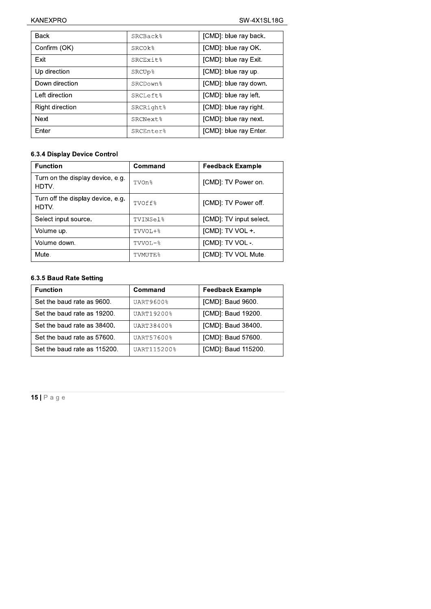| <b>Back</b>     | SRCBack <sup>8</sup> | [CMD]: blue ray back.  |
|-----------------|----------------------|------------------------|
| Confirm (OK)    | SRCOk%               | [CMD]: blue ray OK.    |
| Exit            | <b>SRCEXit%</b>      | [CMD]: blue ray Exit.  |
| Up direction    | <b>SRCUp%</b>        | [CMD]: blue ray up.    |
| Down direction  | SRCDown <sup>8</sup> | [CMD]: blue ray down.  |
| Left direction  | <b>SRCLeft%</b>      | [CMD]: blue ray left.  |
| Right direction | SRCRight%            | [CMD]: blue ray right. |
| Next            | SRCNext <sup>2</sup> | [CMD]: blue ray next.  |
| Enter           | SRCEnter%            | [CMD]: blue ray Enter. |

#### 6.3.4 Display Device Control

| <b>Function</b>                            | Command  | <b>Feedback Example</b> |
|--------------------------------------------|----------|-------------------------|
| Turn on the display device, e.g.<br>HDTV.  | TVOn%    | [CMD]: TV Power on.     |
| Turn off the display device, e.g.<br>HDTV. | TVOff%   | [CMD]: TV Power off.    |
| Select input source.                       | TVINSel% | [CMD]: TV input select. |
| Volume up.                                 | TVVOL+%  | [CMD]: TV VOL +.        |
| Volume down.                               | TVVOL-%  | [CMD]: TV VOL -.        |
| Mute.                                      | TVMUTE%  | [CMD]: TV VOL Mute.     |

#### 6.3.5 Baud Rate Setting

| <b>Function</b>              | Command     | <b>Feedback Example</b> |
|------------------------------|-------------|-------------------------|
| Set the baud rate as 9600.   | UART9600%   | [CMD]: Baud 9600.       |
| Set the baud rate as 19200.  | UART19200%  | [CMD]: Baud 19200.      |
| Set the baud rate as 38400.  | UART38400%  | [CMD]: Baud 38400.      |
| Set the baud rate as 57600.  | UART57600%  | [CMD]: Baud 57600.      |
| Set the baud rate as 115200. | UART115200% | [CMD]: Baud 115200.     |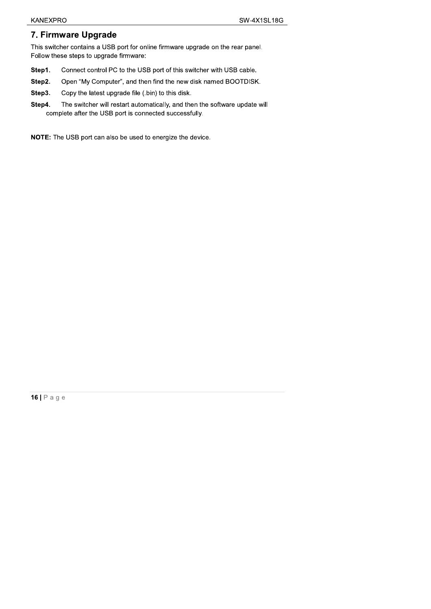### 7. Firmware Upgrade

This switcher contains a USB port for online firmware upgrade on the rear panel. Follow these steps to upgrade firmware:

- Step1. Connect control PC to the USB port of this switcher with USB cable.
- Step2. Open "My Computer", and then find the new disk named BOOTDISK.
- Step3. Copy the latest upgrade file (.bin) to this disk.
- Step4. The switcher will restart automatically, and then the software update will complete after the USB port is connected successfully.

NOTE: The USB port can also be used to energize the device.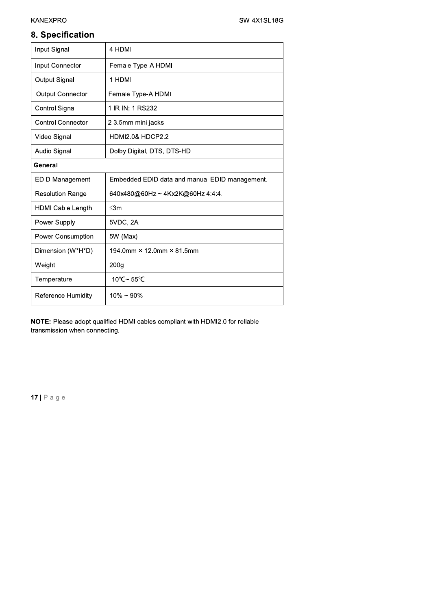## 8. Specification

| Input Signal             | 4 HDMI                                         |  |
|--------------------------|------------------------------------------------|--|
| Input Connector          | Female Type-A HDMI                             |  |
| Output Signal            | 1 HDMI                                         |  |
| Output Connector         | Female Type-A HDMI                             |  |
| Control Signal           | 1 IR IN; 1 RS232                               |  |
| <b>Control Connector</b> | 2 3.5mm mini jacks                             |  |
| Video Signal             | <b>HDMI2.0&amp; HDCP2.2</b>                    |  |
| Audio Signal             | Dolby Digital, DTS, DTS-HD                     |  |
| General                  |                                                |  |
| <b>EDID Management</b>   | Embedded EDID data and manual EDID management. |  |
| <b>Resolution Range</b>  | 640x480@60Hz~4Kx2K@60Hz4:4:4.                  |  |
| <b>HDMI Cable Length</b> | $\leq 3m$                                      |  |
| Power Supply             | 5VDC, 2A                                       |  |
| Power Consumption        | 5W (Max)                                       |  |
| Dimension (W*H*D)        | 194.0mm × 12.0mm × 81.5mm                      |  |
| Weight                   | 200 <sub>g</sub>                               |  |
| Temperature              | $-10^{\circ}$ C~ 55°C                          |  |
| Reference Humidity       | $10\% \sim 90\%$                               |  |

NOTE: Please adopt qualified HDMI cables compliant with HDMI2.0 for reliable transmission when connecting.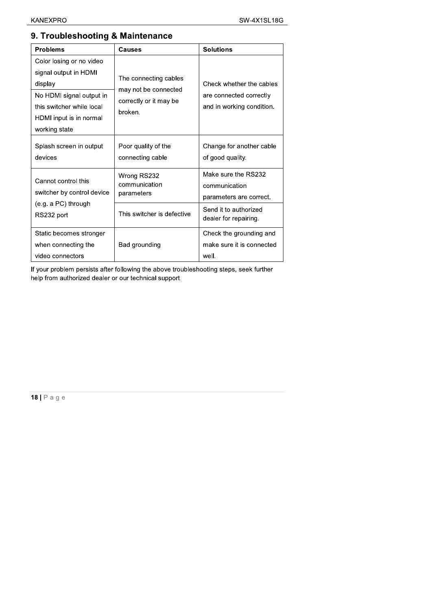| <b>Problems</b>                                                                                                                                                   | <b>Causes</b>                                                                      | <b>Solutions</b>                                                                 |
|-------------------------------------------------------------------------------------------------------------------------------------------------------------------|------------------------------------------------------------------------------------|----------------------------------------------------------------------------------|
| Color losing or no video<br>signal output in HDMI<br>display<br>No HDMI signal output in<br>this switcher while local<br>HDMI input is in normal<br>working state | The connecting cables<br>may not be connected<br>correctly or it may be<br>broken. | Check whether the cables<br>are connected correctly<br>and in working condition. |
| Splash screen in output<br>devices                                                                                                                                | Poor quality of the<br>connecting cable                                            | Change for another cable<br>of good quality.                                     |
| Cannot control this<br>switcher by control device<br>(e.g. a PC) through<br>RS232 port                                                                            | Wrong RS232<br>communication<br>parameters                                         | Make sure the RS232<br>communication<br>parameters are correct.                  |
|                                                                                                                                                                   | This switcher is defective                                                         | Send it to authorized<br>dealer for repairing.                                   |
| Static becomes stronger<br>when connecting the<br>video connectors                                                                                                | Bad grounding                                                                      | Check the grounding and<br>make sure it is connected<br>well.                    |

### 9. Troubleshooting & Maintenance

If your problem persists after following the above troubleshooting steps, seek further help from authorized dealer or our technical support.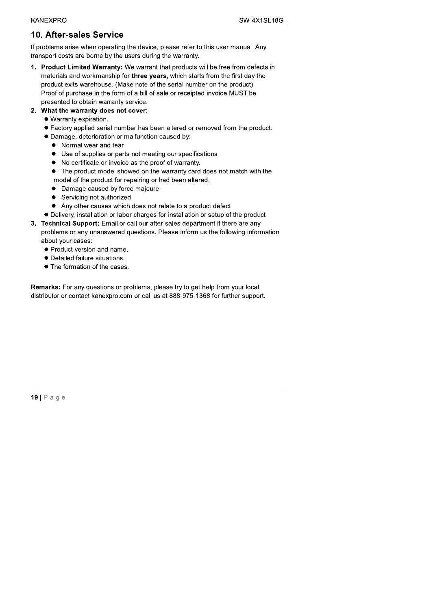#### **10. After-sales Service**

If problems arise when operating the device, please refer to this user manual. Any transport costs are borne by the users during the warranty.

- 1. Product Limited Warranty: We warrant that products will be free from defects in materials and workmanship for three years, which starts from the first day the product exits warehouse. (Make note of the serial number on the product) Proof of purchase in the form of a bill of sale or receipted invoice MUST be presented to obtain warranty service.
- 2. What the warranty does not cover:
	- · Warranty expiration.
	- Factory applied serial number has been altered or removed from the product.
	- · Damage, deterioration or malfunction caused by:
		- Normal wear and tear
		- Use of supplies or parts not meeting our specifications
		- No certificate or invoice as the proof of warranty.
		- The product model showed on the warranty card does not match with the model of the product for repairing or had been altered.
		- Damage caused by force majeure.
		- Servicing not authorized
		- Any other causes which does not relate to a product defect
	- Delivery, installation or labor charges for installation or setup of the product
- 3. Technical Support: Email or call our after-sales department if there are any problems or any unanswered questions. Please inform us the following information about your cases:
	- Product version and name.
	- Detailed failure situations.
	- The formation of the cases

Remarks: For any questions or problems, please try to get help from your local distributor or contact kanexpro.com or call us at 888-975-1368 for further support.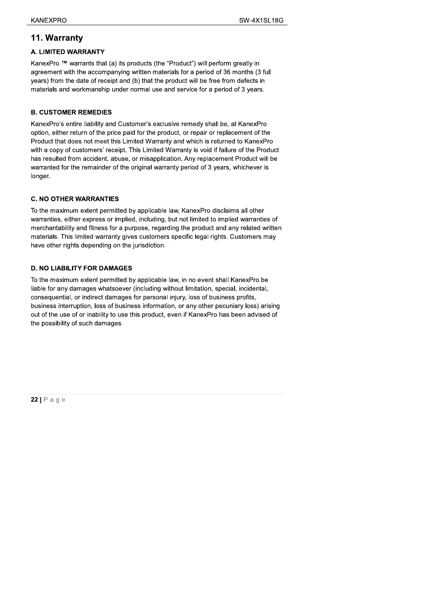**EXAMEXPRO**<br>
SW-4X1SL18<br> **11. Warranty**<br> **A. LIMITED WARRANTY**<br>
KanexPro ™ warrants that (a) its products (the "Product") will perform greatly in<br>
agreement with the accompanying written materials for a period of 36 mont

#### **B. CUSTOMER REMEDIES**

KanexPro's entire liability and Customer's exclusive remedy shall be, at KanexPro option, either return of the price paid for the product, or repair or replacement of the Product that does not meet this Limited Warranty and which is returned to KanexPro with a copy of customers' receipt. This Limited Warranty is void if failure of the Product has resulted from accident, abuse, or misapplication. Any replacement Product will be warranted for the remainder of the original warranty period of 3 years, whichever is longer. Product that does not meet this Limited Warranty and which is returned to KanexPro<br>with a copy of customers' receipt. This Limited Warranty is void if failure of the Product<br>has resulted from accident, abuse, or misapplica

#### **D. NO LIABILITY FOR DAMAGES**

To the maximum extent permitted by applicable law, in no event shall KanexPro be liable for any damages whatsoever (including without limitation, special, incidental, consequential, or indirect damages for personal injury, loss of business profits, business interruption, loss of business information, or any other pecuniary loss) arising out of the use of or inability to use this product, even if KanexPro has been advised of the possibility of such damages.